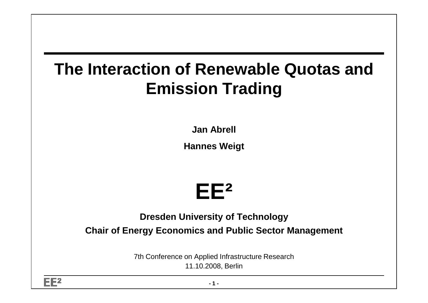# **The Interaction of Renewable Quotas and Emission Trading**

**Jan Abrell**

**Hannes Weigt**



**Dresden University of TechnologyChair of Energy Economics and Public Sector Management**

> 7th Conference on Applied Infrastructure Research11.10.2008, Berlin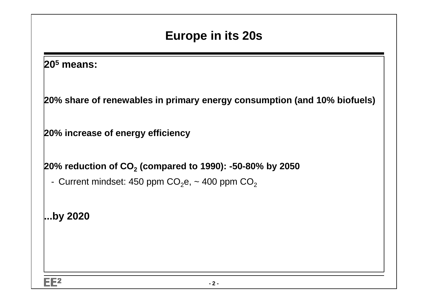### **Europe in its 20s**

#### **205 means:**

**20% share of renewables in primary energy consumption (and 10% biofuels)**

**20% increase of energy efficiency**

**20% reduction of CO2 (compared to 1990): -50-80% by 2050**

- Current mindset: 450 ppm CO $_2$ e, ~ 400 ppm CO $_2$ 

**...by 2020**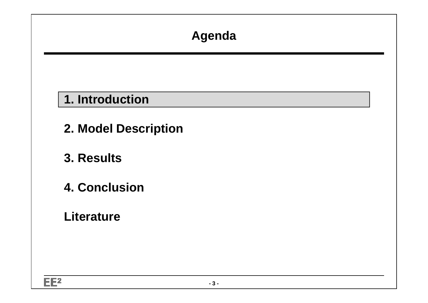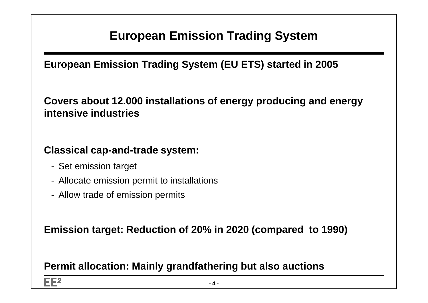### **European Emission Trading System**

**European Emission Trading System (EU ETS) started in 2005**

**Covers about 12.000 installations of energy producing and energy intensive industries**

**Classical cap-and-trade system:**

- Set emission target
- Allocate emission permit to installations
- Allow trade of emission permits

**Emission target: Reduction of 20% in 2020 (compared to 1990)**

**Permit allocation: Mainly grandfathering but also auctions**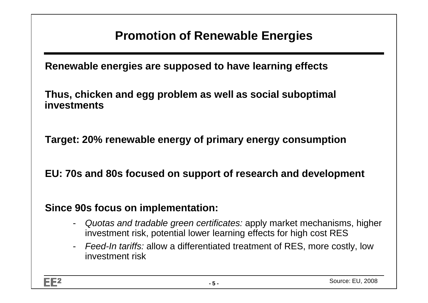### **Promotion of Renewable Energies**

**Renewable energies are supposed to have learning effects** 

**Thus, chicken and egg problem as well as social suboptimal investments**

**Target: 20% renewable energy of primary energy consumption**

**EU: 70s and 80s focused on support of research and development**

#### **Since 90s focus on implementation:**

- Quotas and tradable green certificates: apply market mechanisms, higher investment risk, potential lower learning effects for high cost RES
- Feed-In tariffs: allow a differentiated treatment of RES, more costly, low investment risk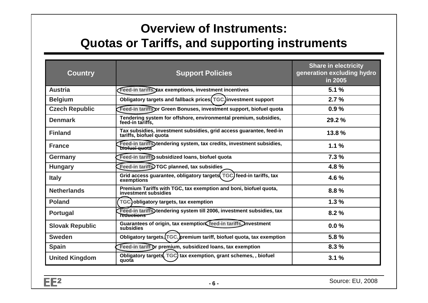### **Overview of Instruments:Quotas or Tariffs, and supporting instruments**

| <b>Country</b>         | <b>Support Policies</b>                                                                             | <b>Share in electricity</b><br>generation excluding hydro<br>in 2005 |
|------------------------|-----------------------------------------------------------------------------------------------------|----------------------------------------------------------------------|
| <b>Austria</b>         | Feed-in tariffs, tax exemptions, investment incentives                                              | 5.1%                                                                 |
| <b>Belgium</b>         | Obligatory targets and fallback prices (TGC, investment support                                     | 2.7%                                                                 |
| <b>Czech Republic</b>  | Feed-in tariffs or Green Bonuses, investment support, biofuel quota                                 | 0.9%                                                                 |
| <b>Denmark</b>         | Tendering system for offshore, environmental premium, subsidies,<br>feed-in tariffs.                | 29.2%                                                                |
| <b>Finland</b>         | Tax subsidies, investment subsidies, grid access guarantee, feed-in<br>tariffs, biofuel quota       | 13.8%                                                                |
| <b>France</b>          | Feed-in tariffs) tendering system, tax credits, investment subsidies,<br>bi <del>ofuel quo</del> ta | 1.1%                                                                 |
| Germany                | Feed-in tariffs subsidized loans, biofuel quota                                                     | 7.3%                                                                 |
| <b>Hungary</b>         | Feed-in tariffs) TGC planned, tax subsidies                                                         | 4.8%                                                                 |
| <b>Italy</b>           | Grid access guarantee, obligatory targets (TGC) feed-in tariffs, tax<br>exemptions                  | 4.6%                                                                 |
| <b>Netherlands</b>     | Premium Tariffs with TGC, tax exemption and boni, biofuel quota,<br>investment subsidies            | 8.8%                                                                 |
| <b>Poland</b>          | TGC) obligatory targets, tax exemption                                                              | 1.3%                                                                 |
| <b>Portugal</b>        | Feed-in tariffs) tendering system till 2006, investment subsidies, tax<br>reductions <sup>-</sup>   | 8.2%                                                                 |
| <b>Slovak Republic</b> | Guarantees of origin, tax exemption feed-in tariffs. Investment<br>subsidies                        | $0.0\%$                                                              |
| <b>Sweden</b>          | Obligatory targets, [TGC, ] premium tariff, biofuel quota, tax exemption                            | 5.8%                                                                 |
| <b>Spain</b>           | Feed-in tariff or premium, subsidized loans, tax exemption                                          | 8.3%                                                                 |
| <b>United Kingdom</b>  | Obligatory targets, TGC) tax exemption, grant schemes, biofuel<br>quota                             | 3.1%                                                                 |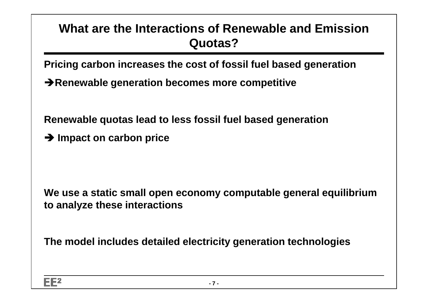### **What are the Interactions of Renewable and EmissionQuotas?**

**Pricing carbon increases the cost of fossil fuel based generation**

**→ Renewable generation becomes more competitive** 

**Renewable quotas lead to less fossil fuel based generation**

**→ Impact on carbon price** 

**We use a static small open economy computable general equilibrium to analyze these interactions**

**The model includes detailed electricity generation technologies**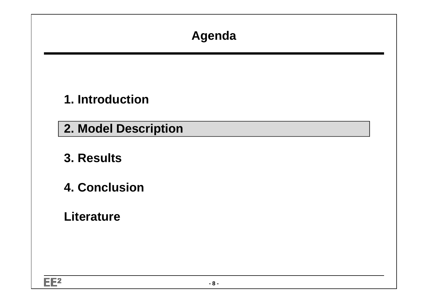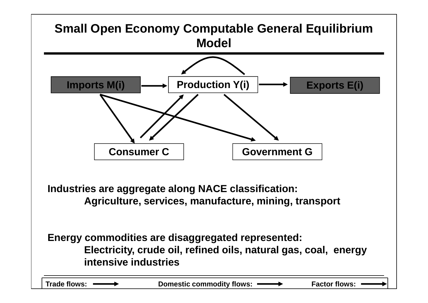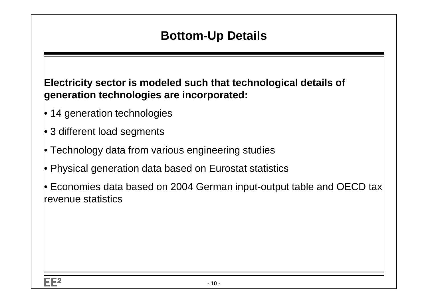### **Bottom-Up Details**

**Electricity sector is modeled such that technological details of generation technologies are incorporated:**

- 14 generation technologies
- 3 different load segments
- Technology data from various engineering studies
- Physical generation data based on Eurostat statistics
- $\bullet$  Economies data based on 2004 German input-output table and OECD tax $\mid$ revenue statistics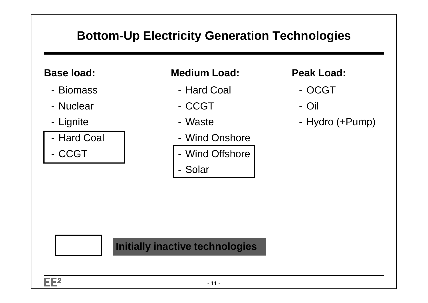### **Bottom-Up Electricity Generation Technologies**

#### **Base load:**

- Biomass
- Nuclear
- Lignite
- -Hard Coal
- -- CCGT

#### **Medium Load:**

- -Hard Coal
- -CCGT
- Waste
- -Wind Onshore
- -Wind Offshore
- -Solar

#### **Peak Load:**

- OCGT
- Oil
- Hydro (+Pump)

#### **Initially inactive technologies**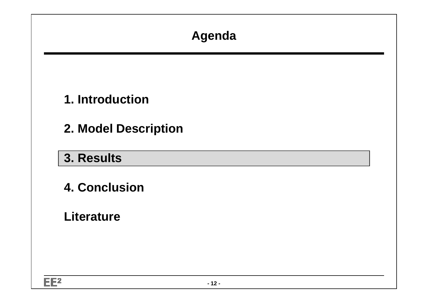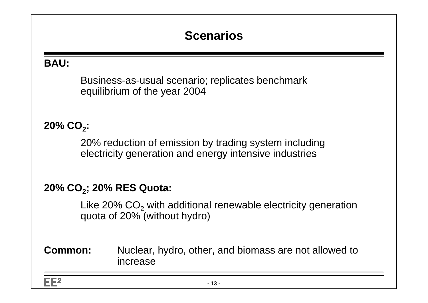### **Scenarios**

#### **BAU:**

Business-as-usual scenario; replicates benchmark equilibrium of the year 2004

#### **20% CO2:**

20% reduction of emission by trading system including electricity generation and energy intensive industries

#### **20% CO2; 20% RES Quota:**

Like 20%  $\mathsf{CO}_2$  with additional renewable electricity generation quota of 20% (without hydro)

#### **Common:** Nuclear, hydro, other, and biomass are not allowed to increase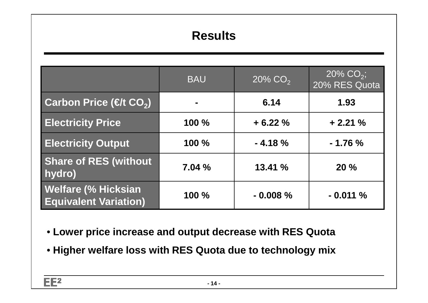### **Results**

|                                                            | <b>BAU</b> | $20\%$ CO <sub>2</sub> | $20\%$ CO <sub>2</sub> ;<br>20% RES Quota |
|------------------------------------------------------------|------------|------------------------|-------------------------------------------|
| Carbon Price (€/t CO2)                                     |            | 6.14                   | 1.93                                      |
| <b>Electricity Price</b>                                   | 100 %      | $+6.22%$               | $+2.21%$                                  |
| <b>Electricity Output</b>                                  | 100 %      | $-4.18%$               | $-1.76%$                                  |
| <b>Share of RES (without</b><br>hydro)                     | 7.04%      | 13.41%                 | 20%                                       |
| <b>Welfare (% Hicksian</b><br><b>Equivalent Variation)</b> | $100 \%$   | $-0.008%$              | $-0.011%$                                 |

- **Lower price increase and output decrease with RES Quota**
- **Higher welfare loss with RES Quota due to technology mix**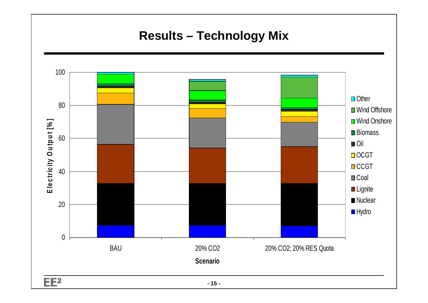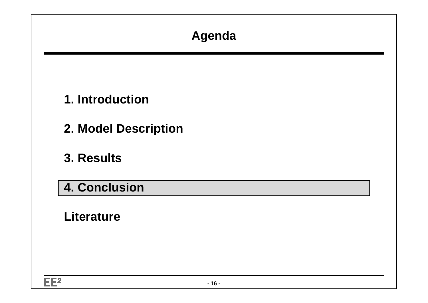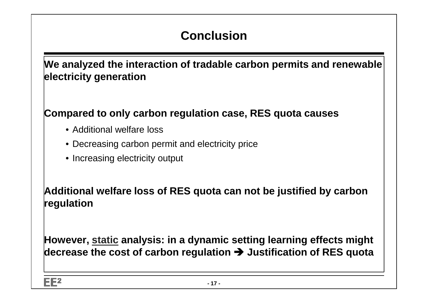### **Conclusion**

**We analyzed the interaction of tradable carbon permits and renewable electricity generation**

#### **Compared to only carbon regulation case, RES quota causes**

- Additional welfare loss
- Decreasing carbon permit and electricity price
- Increasing electricity output

**Additional welfare loss of RES quota can not be justified by carbon regulation**

**However, static analysis: in a dynamic setting learning effects might decrease the cost of carbon regulation Justification of RES quota**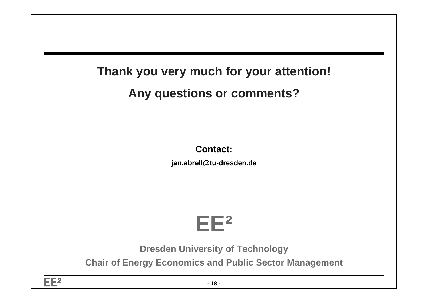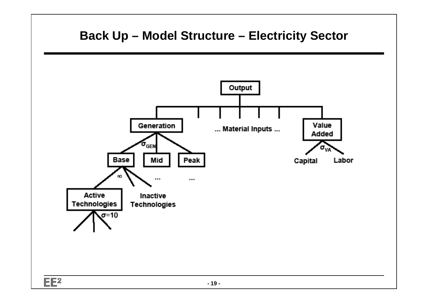## **Back Up – Model Structure – Electricity Sector**